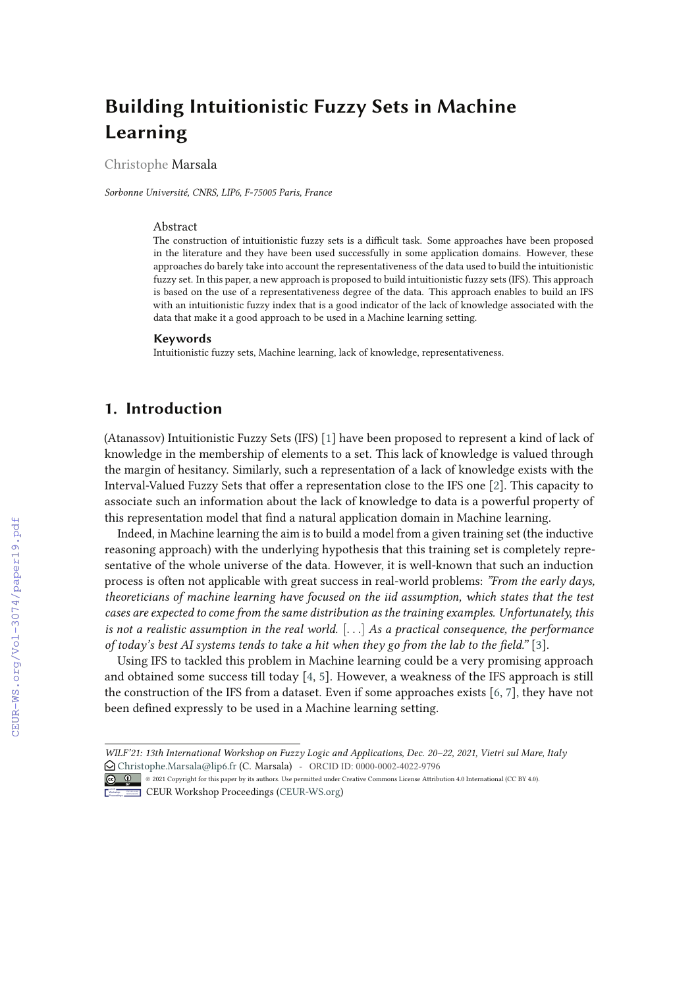# **Building Intuitionistic Fuzzy Sets in Machine Learning**

Christophe Marsala

*Sorbonne Université, CNRS, LIP6, F-75005 Paris, France*

### Abstract

The construction of intuitionistic fuzzy sets is a difficult task. Some approaches have been proposed in the literature and they have been used successfully in some application domains. However, these approaches do barely take into account the representativeness of the data used to build the intuitionistic fuzzy set. In this paper, a new approach is proposed to build intuitionistic fuzzy sets (IFS). This approach is based on the use of a representativeness degree of the data. This approach enables to build an IFS with an intuitionistic fuzzy index that is a good indicator of the lack of knowledge associated with the data that make it a good approach to be used in a Machine learning setting.

#### **Keywords**

Intuitionistic fuzzy sets, Machine learning, lack of knowledge, representativeness.

# **1. Introduction**

(Atanassov) Intuitionistic Fuzzy Sets (IFS) [1] have been proposed to represent a kind of lack of knowledge in the membership of elements to a set. This lack of knowledge is valued through the margin of hesitancy. Similarly, such a representation of a lack of knowledge exists with the Interval-Valued Fuzzy Sets that offer a representation close to the IFS one [2]. This capacity to associate such an information about the lack of knowledge to data is a powerful property of this representation model that find a natural application domain in Machine learning.

Indeed, in Machine learning the aim is to build a model from a given training set (the inductive reasoning approach) with the underlying hypothesis that this training set is completely representative of the whole universe of the data. However, it is well-known that such an induction process is often not applicable with great success in real-world problems: *"From the early days, theoreticians of machine learning have focused on the iid assumption, which states that the test cases are expected to come from the same distribution as the training examples. Unfortunately, this is not a realistic assumption in the real world.* [. . .] *As a practical consequence, the performance of today's best AI systems tends to take a hit when they go from the lab to the "eld."* [3].

Using IFS to tackled this problem in Machine learning could be a very promising approach and obtained some success till today [4, 5]. However, a weakness of the IFS approach is still the construction of the IFS from a dataset. Even if some approaches exists [6, 7], they have not been defined expressly to be used in a Machine learning setting.

*WILF'21: 13th International Workshop on Fuzzy Logic and Applications, Dec. 20–22, 2021, Vietri sul Mare, Italy*  $\bigcirc$  Christophe.Marsala@lip6.fr (C. Marsala) - ORCID ID: 0000-0002-4022-9796

<sup>©</sup> 2021 Copyright for this paper by its authors. Use permitted under Creative Commons License Attribution 4.0 International (CC BY 4.0).

**CEUR Workshop Proceedings (CEUR-WS.org)**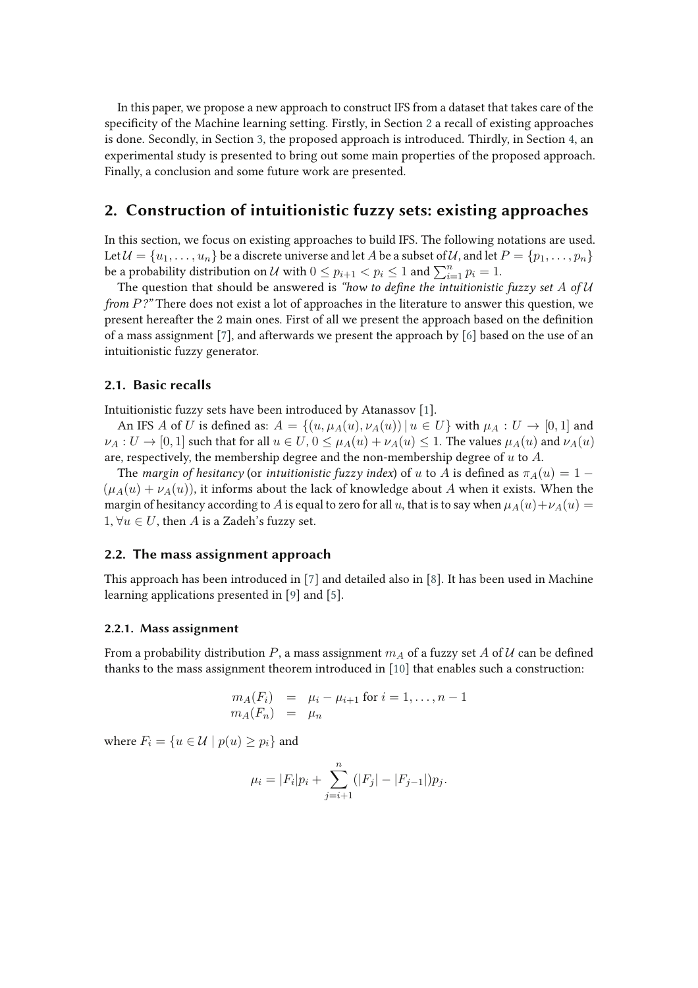In this paper, we propose a new approach to construct IFS from a dataset that takes care of the specificity of the Machine learning setting. Firstly, in Section 2 a recall of existing approaches is done. Secondly, in Section 3, the proposed approach is introduced. Thirdly, in Section 4, an experimental study is presented to bring out some main properties of the proposed approach. Finally, a conclusion and some future work are presented.

### **2. Construction of intuitionistic fuzzy sets: existing approaches**

In this section, we focus on existing approaches to build IFS. The following notations are used. Let  $\mathcal{U} = \{u_1, \ldots, u_n\}$  be a discrete universe and let A be a subset of U, and let  $P = \{p_1, \ldots, p_n\}$ be a probability distribution on  $\mathcal U$  with  $0\leq p_{i+1} < p_i \leq 1$  and  $\sum_{i=1}^n p_i = 1$ .

The question that should be answered is "how to define the intuitionistic fuzzy set A of U *from* P?" There does not exist a lot of approaches in the literature to answer this question, we present hereafter the 2 main ones. First of all we present the approach based on the definition of a mass assignment [7], and afterwards we present the approach by [6] based on the use of an intuitionistic fuzzy generator.

### **2.1. Basic recalls**

Intuitionistic fuzzy sets have been introduced by Atanassov [1].

An IFS A of U is defined as:  $A = \{(u, \mu_A(u), \nu_A(u)) \mid u \in U\}$  with  $\mu_A : U \to [0, 1]$  and  $\nu_A: U \to [0,1]$  such that for all  $u \in U$ ,  $0 \leq \mu_A(u) + \nu_A(u) \leq 1$ . The values  $\mu_A(u)$  and  $\nu_A(u)$ are, respectively, the membership degree and the non-membership degree of  $u$  to  $A$ .

The *margin of hesitancy* (or *intuitionistic fuzzy index*) of u to A is defined as  $\pi_A(u) = 1 (\mu_A(u) + \nu_A(u))$ , it informs about the lack of knowledge about A when it exists. When the margin of hesitancy according to A is equal to zero for all u, that is to say when  $\mu_A(u) + \nu_A(u) =$ 1,  $\forall u \in U$ , then A is a Zadeh's fuzzy set.

#### **2.2. The mass assignment approach**

This approach has been introduced in [7] and detailed also in [8]. It has been used in Machine learning applications presented in [9] and [5].

### **2.2.1. Mass assignment**

From a probability distribution P, a mass assignment  $m_A$  of a fuzzy set A of U can be defined thanks to the mass assignment theorem introduced in [10] that enables such a construction:

$$
m_A(F_i) = \mu_i - \mu_{i+1} \text{ for } i = 1, \dots, n-1
$$
  

$$
m_A(F_n) = \mu_n
$$

where  $F_i = \{u \in \mathcal{U} \mid p(u) \geq p_i\}$  and

$$
\mu_i = |F_i| p_i + \sum_{j=i+1}^n (|F_j| - |F_{j-1}|) p_j.
$$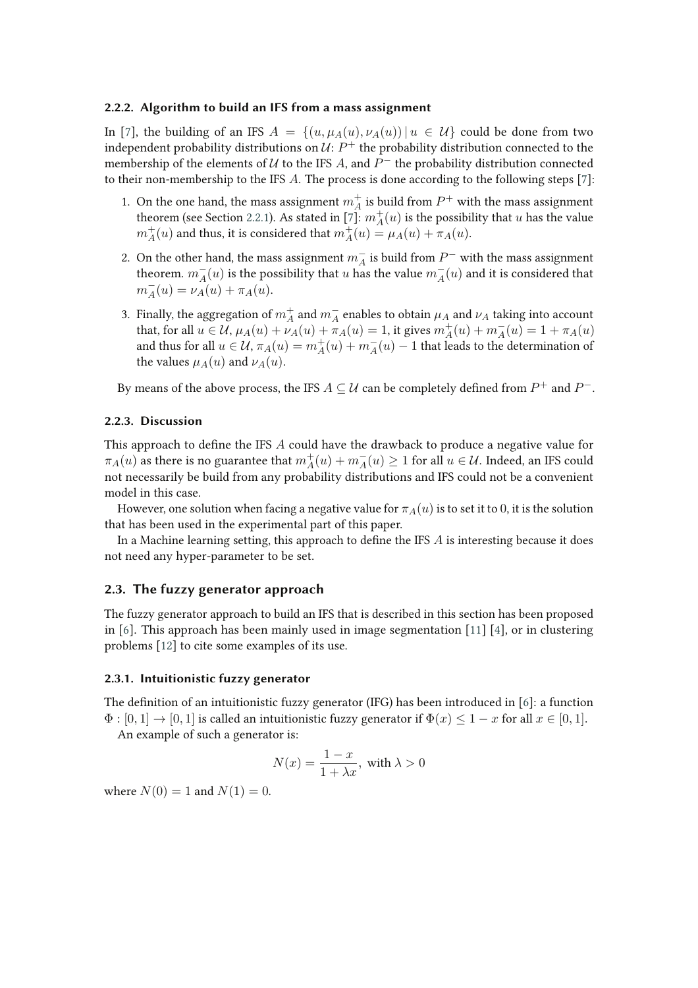### **2.2.2. Algorithm to build an IFS from a mass assignment**

In [7], the building of an IFS  $A = \{(u, \mu_A(u), \nu_A(u)) | u \in U\}$  could be done from two independent probability distributions on  $\mathcal U\colon P^+$  the probability distribution connected to the membership of the elements of  $U$  to the IFS  $A$ , and  $P^-$  the probability distribution connected to their non-membership to the IFS A. The process is done according to the following steps [7]:

- 1. On the one hand, the mass assignment  $m_A^+$  is build from  $P^+$  with the mass assignment theorem (see Section 2.2.1). As stated in [7]:  $m_A^+(u)$  is the possibility that u has the value  $m_A^+(u)$  and thus, it is considered that  $m_A^+(u) = \mu_A(u) + \pi_A(u)$ .
- 2. On the other hand, the mass assignment  $m_A^{\perp}$  is build from  $P^-$  with the mass assignment theorem.  $m_A^-(u)$  is the possibility that  $u$  has the value  $m_A^-(u)$  and it is considered that  $m_A^-(u) = \nu_A(u) + \pi_A(u).$
- 3. Finally, the aggregation of  $m_A^+$  and  $m_A^-$  enables to obtain  $\mu_A$  and  $\nu_A$  taking into account that, for all  $u \in U$ ,  $\mu_A(u) + \mu_A(u) + \pi_A(u) = 1$ , it gives  $m_A^+(u) + m_A^-(u) = 1 + \pi_A(u)$ and thus for all  $u \in \mathcal{U}$ ,  $\pi_A(u) = m_A^+(u) + m_A^-(u) - 1$  that leads to the determination of the values  $\mu_A(u)$  and  $\nu_A(u)$ .

By means of the above process, the IFS  $A\subseteq \mathcal{U}$  can be completely defined from  $P^+$  and  $P^-$ .

#### **2.2.3. Discussion**

This approach to define the IFS  $\vec{A}$  could have the drawback to produce a negative value for  $\pi_A(u)$  as there is no guarantee that  $m_A^+(u)+m_A^-(u)\geq 1$  for all  $u\in\mathcal{U}.$  Indeed, an IFS could not necessarily be build from any probability distributions and IFS could not be a convenient model in this case.

However, one solution when facing a negative value for  $\pi_A(u)$  is to set it to 0, it is the solution that has been used in the experimental part of this paper.

In a Machine learning setting, this approach to define the IFS  $A$  is interesting because it does not need any hyper-parameter to be set.

### **2.3. The fuzzy generator approach**

The fuzzy generator approach to build an IFS that is described in this section has been proposed in [6]. This approach has been mainly used in image segmentation [11] [4], or in clustering problems [12] to cite some examples of its use.

### **2.3.1. Intuitionistic fuzzy generator**

The definition of an intuitionistic fuzzy generator (IFG) has been introduced in  $[6]$ : a function  $\Phi$ :  $[0, 1] \rightarrow [0, 1]$  is called an intuitionistic fuzzy generator if  $\Phi(x) \leq 1 - x$  for all  $x \in [0, 1]$ .

An example of such a generator is:

$$
N(x) = \frac{1-x}{1+\lambda x}, \text{ with } \lambda > 0
$$

where  $N(0) = 1$  and  $N(1) = 0$ .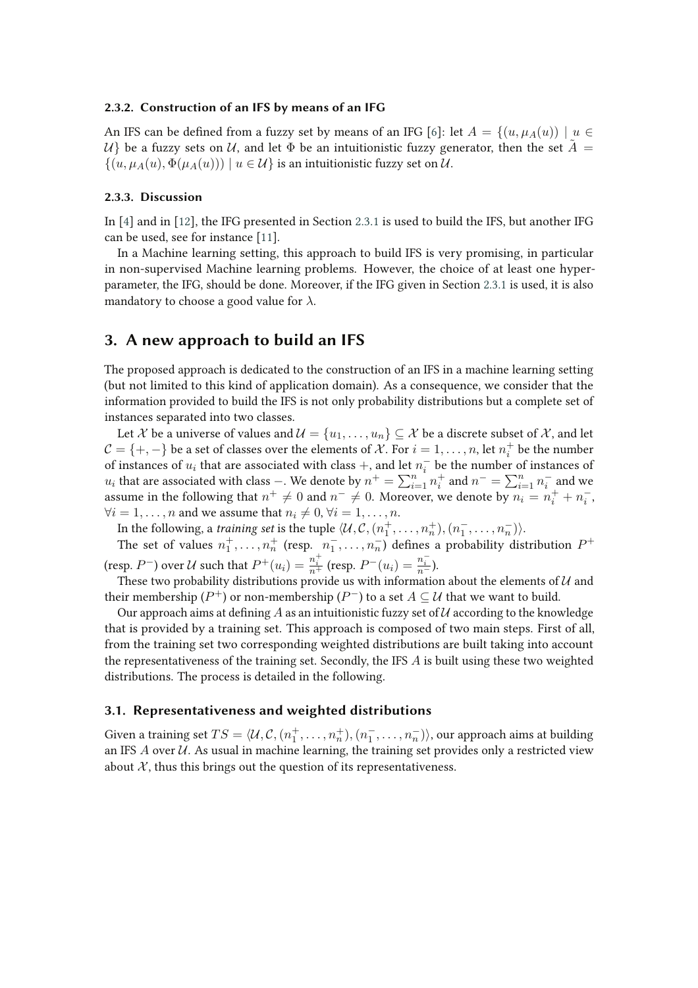### **2.3.2. Construction of an IFS by means of an IFG**

An IFS can be defined from a fuzzy set by means of an IFG [6]: let  $A = \{(u, \mu_A(u)) \mid u \in$  $\mathcal{U}$  be a fuzzy sets on  $\mathcal{U}$ , and let  $\Phi$  be an intuitionistic fuzzy generator, then the set  $\tilde{A} =$  $\{(u, \mu_A(u), \Phi(\mu_A(u))) \mid u \in \mathcal{U}\}\$ is an intuitionistic fuzzy set on  $\mathcal{U}.$ 

### **2.3.3. Discussion**

In [4] and in [12], the IFG presented in Section 2.3.1 is used to build the IFS, but another IFG can be used, see for instance [11].

In a Machine learning setting, this approach to build IFS is very promising, in particular in non-supervised Machine learning problems. However, the choice of at least one hyperparameter, the IFG, should be done. Moreover, if the IFG given in Section 2.3.1 is used, it is also mandatory to choose a good value for  $\lambda$ .

### **3. A new approach to build an IFS**

The proposed approach is dedicated to the construction of an IFS in a machine learning setting (but not limited to this kind of application domain). As a consequence, we consider that the information provided to build the IFS is not only probability distributions but a complete set of instances separated into two classes.

Let X be a universe of values and  $\mathcal{U} = \{u_1, \ldots, u_n\} \subseteq \mathcal{X}$  be a discrete subset of X, and let  $C = \{+, -\}$  be a set of classes over the elements of X. For  $i = 1, \ldots, n$ , let  $n_i^+$  $i<sub>i</sub>$  be the number of instances of  $u_i$  that are associated with class +, and let  $n_i^-$  be the number of instances of  $u_i$  that are associated with class −. We denote by  $n^+ = \sum_{i=1}^n n_i^+$  $i^+$  and  $n^- = \sum_{i=1}^n n_i^-$  and we assume in the following that  $n^+ \neq 0$  and  $n^- \neq 0$ . Moreover, we denote by  $n_i = n_i^+ + n_i^-$ ,  $\forall i = 1, \ldots, n$  and we assume that  $n_i \neq 0, \forall i = 1, \ldots, n$ .

In the following, a *training set* is the tuple  $\langle \mathcal{U}, \mathcal{C}, (n_1^+,\ldots,n_n^+), (n_1^-,\ldots,n_n^-) \rangle$ .

The set of values  $n_1^+$ , ...,  $n_n^+$  (resp.  $n_1^-$ , ...,  $n_n^-$ ) defines a probability distribution  $P^+$ (resp.  $P^-$ ) over U such that  $P^+(u_i) = \frac{n_i^+}{n^+}$  (resp.  $P^-(u_i) = \frac{n_i^-}{n^-}$ ).

These two probability distributions provide us with information about the elements of  $U$  and their membership ( $P^+$ ) or non-membership ( $P^-$ ) to a set  $A\subseteq \mathcal{U}$  that we want to build.

Our approach aims at defining A as an intuitionistic fuzzy set of U according to the knowledge that is provided by a training set. This approach is composed of two main steps. First of all, from the training set two corresponding weighted distributions are built taking into account the representativeness of the training set. Secondly, the IFS  $A$  is built using these two weighted distributions. The process is detailed in the following.

### **3.1. Representativeness and weighted distributions**

Given a training set  $TS = \langle \mathcal{U}, \mathcal{C}, (n_1^+,\ldots,n_n^+), (n_1^-,\ldots,n_n^-) \rangle$ , our approach aims at building an IFS  $\vec{A}$  over  $\vec{U}$ . As usual in machine learning, the training set provides only a restricted view about  $X$ , thus this brings out the question of its representativeness.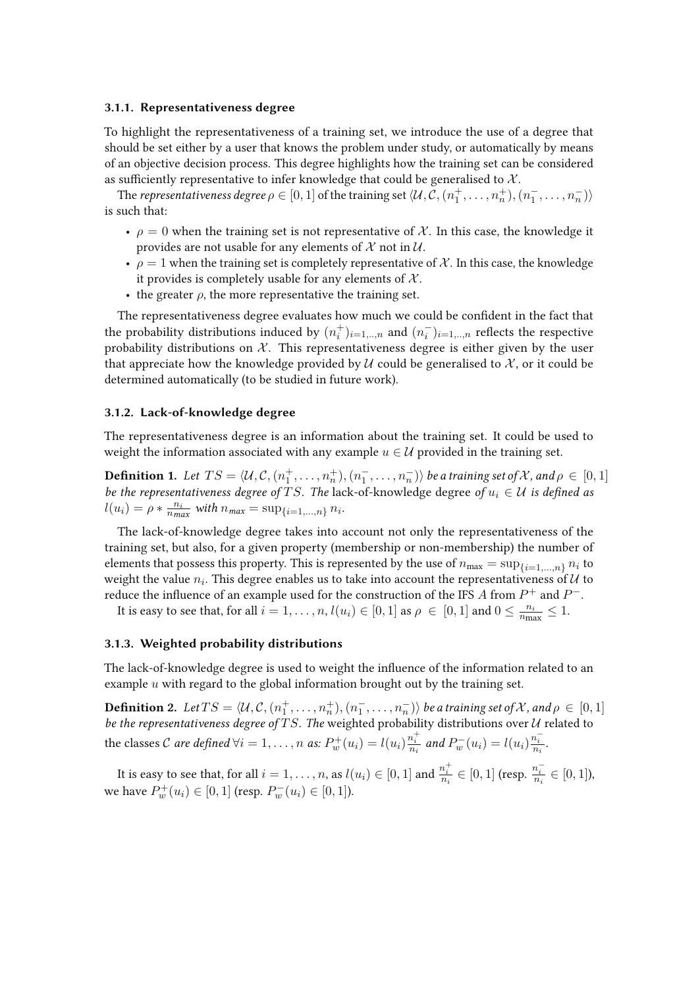### **3.1.1. Representativeness degree**

To highlight the representativeness of a training set, we introduce the use of a degree that should be set either by a user that knows the problem under study, or automatically by means of an objective decision process. This degree highlights how the training set can be considered as sufficiently representative to infer knowledge that could be generalised to  $X$ .

The *representativeness degree*  $\rho \in [0,1]$  *of the training set*  $\langle \mathcal{U}, \mathcal{C}, (n^+_1,\ldots,n^+_n), (n^-_1,\ldots,n^-_n) \rangle$ is such that:

- $\rho = 0$  when the training set is not representative of X. In this case, the knowledge it provides are not usable for any elements of  $\mathcal X$  not in  $\mathcal U$ .
- $\rho = 1$  when the training set is completely representative of X. In this case, the knowledge it provides is completely usable for any elements of  $X$ .
- the greater  $\rho$ , the more representative the training set.

The representativeness degree evaluates how much we could be confident in the fact that the probability distributions induced by  $(n_i^+$  $\hat{p}_{i}^{+}\}_{i=1,..,n}$  and  $(n_{i}^{-})_{i=1,..,n}$  reflects the respective probability distributions on  $\mathcal{X}$ . This representativeness degree is either given by the user that appreciate how the knowledge provided by  $\mathcal U$  could be generalised to  $\mathcal X$ , or it could be determined automatically (to be studied in future work).

#### **3.1.2. Lack-of-knowledge degree**

The representativeness degree is an information about the training set. It could be used to weight the information associated with any example  $u \in \mathcal{U}$  provided in the training set.

**Definition 1.** Let  $TS = \langle \mathcal{U}, \mathcal{C}, (n_1^+, \dots, n_n^+), (n_1^-, \dots, n_n^-) \rangle$  be a training set of X, and  $\rho \in [0,1]$ *be the representativeness degree of*  $TS$ *. The lack-of-knowledge degree of*  $u_i \in U$  *is defined as*  $l(u_i) = \rho * \frac{n_i}{n m_i}$  $\frac{n_i}{n_{max}}$  with  $n_{max} = \sup_{\{i=1,...,n\}} n_i$ .

The lack-of-knowledge degree takes into account not only the representativeness of the training set, but also, for a given property (membership or non-membership) the number of elements that possess this property. This is represented by the use of  $n_{\text{max}} = \sup_{\{i=1,\dots,n\}} n_i$  to weight the value  $n_i$ . This degree enables us to take into account the representativeness of  ${\cal U}$  to reduce the influence of an example used for the construction of the IFS  $A$  from  $P^+$  and  $P^-$ .

It is easy to see that, for all  $i = 1, \ldots, n$ ,  $l(u_i) \in [0, 1]$  as  $\rho \in [0, 1]$  and  $0 \leq \frac{n_i}{n_i}$  $\frac{n_i}{n_{\max}} \leq 1.$ 

### **3.1.3. Weighted probability distributions**

The lack-of-knowledge degree is used to weight the influence of the information related to an example  $u$  with regard to the global information brought out by the training set.

**Definition 2.** Let  $TS = \langle \mathcal{U}, \mathcal{C}, (n_1^+, \dots, n_n^+), (n_1^-, \dots, n_n^-) \rangle$  be a training set of X, and  $\rho \in [0,1]$ *be the representativeness degree of TS. The weighted probability distributions over U related to* the classes *C* are defined  $\forall i = 1, ..., n$  as:  $P_w^+(u_i) = l(u_i) \frac{n_i^+}{n_i}$  and  $P_w^-(u_i) = l(u_i) \frac{n_i^-}{n_i}$ .

It is easy to see that, for all  $i=1,\ldots,n,$  as  $l(u_i)\in [0,1]$  and  $\frac{n_i^+}{n_i}\in [0,1]$  (resp.  $\frac{n_i^-}{n_i}\in [0,1]$ ), we have  $P_w^+(u_i) \in [0, 1]$  (resp.  $P_w^-(u_i) \in [0, 1]$ ).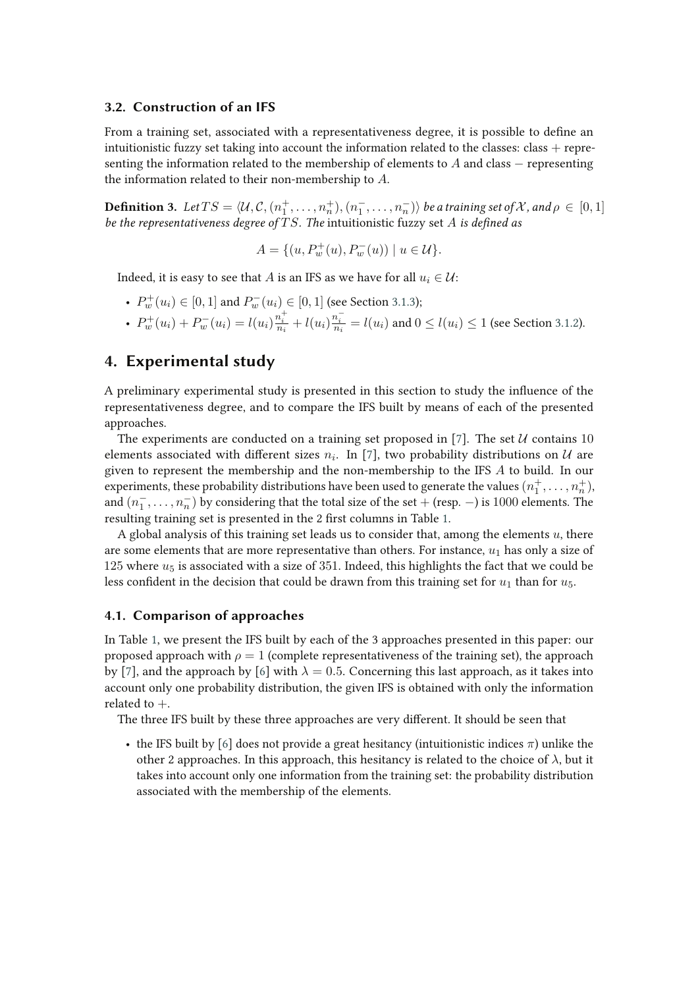### **3.2. Construction of an IFS**

From a training set, associated with a representativeness degree, it is possible to define an intuitionistic fuzzy set taking into account the information related to the classes: class  $+$  representing the information related to the membership of elements to A and class  $-$  representing the information related to their non-membership to A.

**Definition 3.** Let  $TS = \langle \mathcal{U}, \mathcal{C}, (n_1^+, \dots, n_n^+), (n_1^-, \dots, n_n^-) \rangle$  be a training set of X, and  $\rho \in [0,1]$ *be the representativeness degree of* TS. The intuitionistic fuzzy set A is defined as

$$
A = \{ (u, P_w^+(u), P_w^-(u)) \mid u \in \mathcal{U} \}.
$$

Indeed, it is easy to see that A is an IFS as we have for all  $u_i \in \mathcal{U}$ :

- $P_w^+(u_i) \in [0,1]$  and  $P_w^-(u_i) \in [0,1]$  (see Section 3.1.3);
- $P_w^+(u_i) + P_w^-(u_i) = l(u_i) \frac{n_i^+}{n_i} + l(u_i) \frac{n_i^-}{n_i} = l(u_i)$  and  $0 \le l(u_i) \le 1$  (see Section 3.1.2).

### **4. Experimental study**

A preliminary experimental study is presented in this section to study the influence of the representativeness degree, and to compare the IFS built by means of each of the presented approaches.

The experiments are conducted on a training set proposed in [7]. The set  $U$  contains 10 elements associated with different sizes  $n_i$ . In [7], two probability distributions on  $\mathcal U$  are given to represent the membership and the non-membership to the IFS  $A$  to build. In our experiments, these probability distributions have been used to generate the values  $(n^+_1,\ldots,n^+_n)$ , and  $(n_1^-, \ldots, n_n^-)$  by considering that the total size of the set + (resp.  $-)$  is 1000 elements. The resulting training set is presented in the 2 first columns in Table 1.

A global analysis of this training set leads us to consider that, among the elements  $u$ , there are some elements that are more representative than others. For instance,  $u_1$  has only a size of 125 where  $u_5$  is associated with a size of 351. Indeed, this highlights the fact that we could be less confident in the decision that could be drawn from this training set for  $u_1$  than for  $u_5$ .

### **4.1. Comparison of approaches**

In Table 1, we present the IFS built by each of the 3 approaches presented in this paper: our proposed approach with  $\rho = 1$  (complete representativeness of the training set), the approach by [7], and the approach by [6] with  $\lambda = 0.5$ . Concerning this last approach, as it takes into account only one probability distribution, the given IFS is obtained with only the information related to  $+$ .

The three IFS built by these three approaches are very different. It should be seen that

• the IFS built by [6] does not provide a great hesitancy (intuitionistic indices  $\pi$ ) unlike the other 2 approaches. In this approach, this hesitancy is related to the choice of  $\lambda$ , but it takes into account only one information from the training set: the probability distribution associated with the membership of the elements.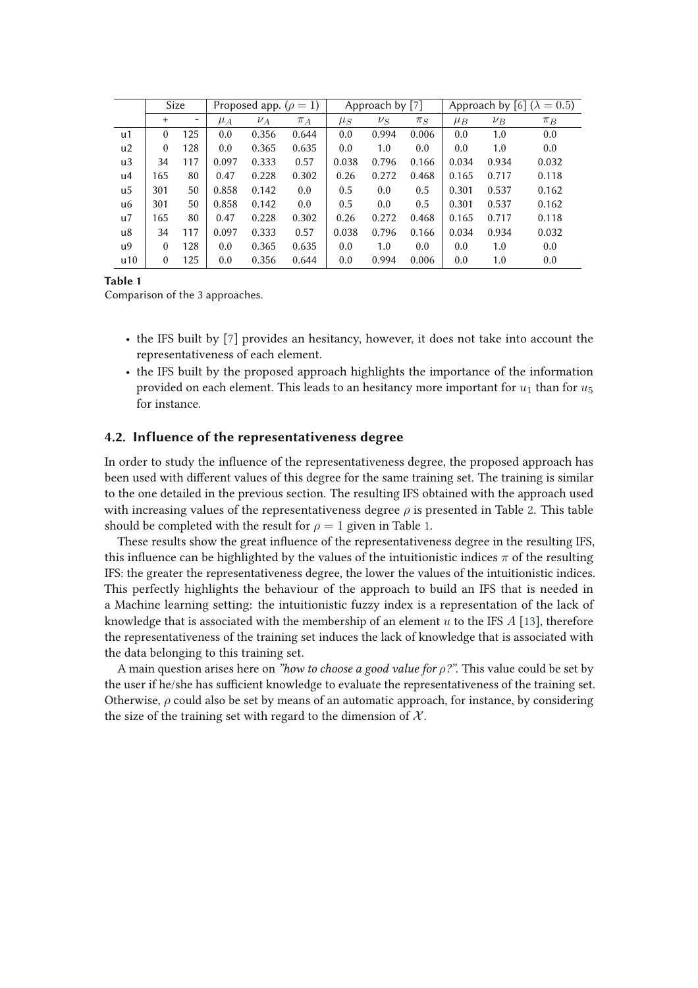|     | Size     |     | Proposed app. ( $\rho = 1$ ) |         |         | Approach by [7] |         |         | Approach by [6] ( $\lambda = 0.5$ ) |         |         |
|-----|----------|-----|------------------------------|---------|---------|-----------------|---------|---------|-------------------------------------|---------|---------|
|     | $+$      |     | $\mu_A$                      | $\nu_A$ | $\pi_A$ | $\mu_S$         | $\nu_S$ | $\pi_S$ | $\mu_B$                             | $\nu_B$ | $\pi_B$ |
| u1  | $\theta$ | 125 | 0.0                          | 0.356   | 0.644   | 0.0             | 0.994   | 0.006   | 0.0                                 | 1.0     | 0.0     |
| u2  | $\theta$ | 128 | 0.0                          | 0.365   | 0.635   | 0.0             | 1.0     | 0.0     | 0.0                                 | 1.0     | 0.0     |
| u3  | 34       | 117 | 0.097                        | 0.333   | 0.57    | 0.038           | 0.796   | 0.166   | 0.034                               | 0.934   | 0.032   |
| u4  | 165      | 80  | 0.47                         | 0.228   | 0.302   | 0.26            | 0.272   | 0.468   | 0.165                               | 0.717   | 0.118   |
| u5  | 301      | 50  | 0.858                        | 0.142   | 0.0     | 0.5             | 0.0     | 0.5     | 0.301                               | 0.537   | 0.162   |
| u6  | 301      | 50  | 0.858                        | 0.142   | 0.0     | 0.5             | 0.0     | 0.5     | 0.301                               | 0.537   | 0.162   |
| u7  | 165      | 80  | 0.47                         | 0.228   | 0.302   | 0.26            | 0.272   | 0.468   | 0.165                               | 0.717   | 0.118   |
| u8  | 34       | 117 | 0.097                        | 0.333   | 0.57    | 0.038           | 0.796   | 0.166   | 0.034                               | 0.934   | 0.032   |
| u9  | $\theta$ | 128 | 0.0                          | 0.365   | 0.635   | 0.0             | 1.0     | 0.0     | 0.0                                 | 1.0     | 0.0     |
| u10 | $\theta$ | 125 | 0.0                          | 0.356   | 0.644   | 0.0             | 0.994   | 0.006   | 0.0                                 | 1.0     | 0.0     |

**Table 1**

Comparison of the 3 approaches.

- the IFS built by [7] provides an hesitancy, however, it does not take into account the representativeness of each element.
- the IFS built by the proposed approach highlights the importance of the information provided on each element. This leads to an hesitancy more important for  $u_1$  than for  $u_5$ for instance.

### **4.2. Influence of the representativeness degree**

In order to study the influence of the representativeness degree, the proposed approach has been used with different values of this degree for the same training set. The training is similar to the one detailed in the previous section. The resulting IFS obtained with the approach used with increasing values of the representativeness degree  $\rho$  is presented in Table 2. This table should be completed with the result for  $\rho = 1$  given in Table 1.

These results show the great influence of the representativeness degree in the resulting IFS, this influence can be highlighted by the values of the intuitionistic indices  $\pi$  of the resulting IFS: the greater the representativeness degree, the lower the values of the intuitionistic indices. This perfectly highlights the behaviour of the approach to build an IFS that is needed in a Machine learning setting: the intuitionistic fuzzy index is a representation of the lack of knowledge that is associated with the membership of an element u to the IFS  $\hat{A}$  [13], therefore the representativeness of the training set induces the lack of knowledge that is associated with the data belonging to this training set.

A main question arises here on *"how to choose a good value for* ρ*?"*. This value could be set by the user if he/she has sufficient knowledge to evaluate the representativeness of the training set. Otherwise,  $\rho$  could also be set by means of an automatic approach, for instance, by considering the size of the training set with regard to the dimension of  $X$ .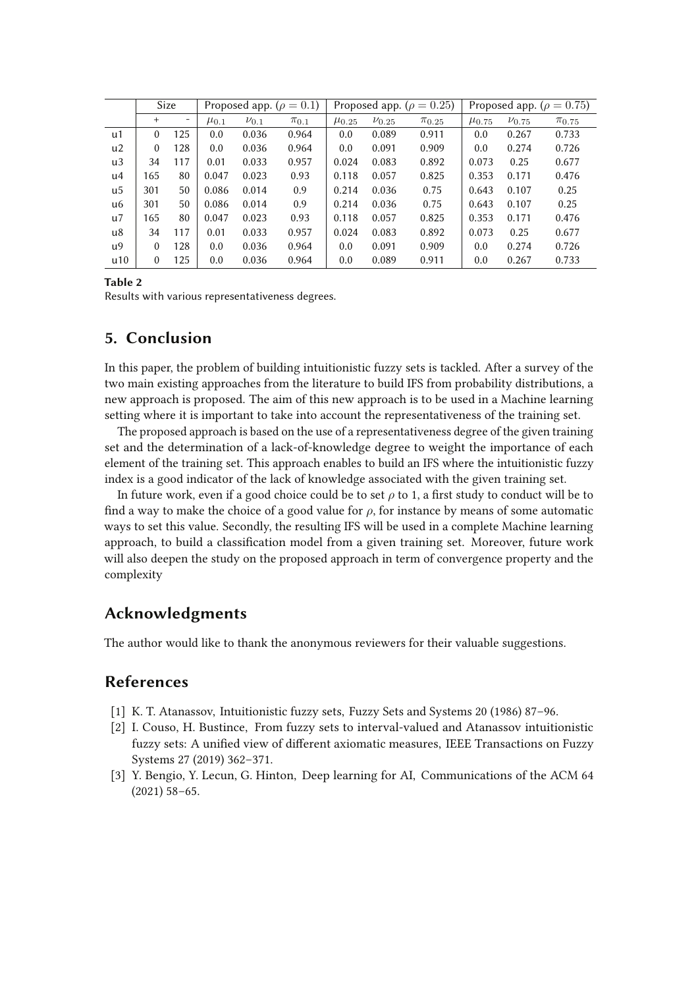|     | Size     |     | Proposed app. ( $\rho = 0.1$ ) |             |             | Proposed app. ( $\rho = 0.25$ ) |              |              | Proposed app. ( $\rho = 0.75$ ) |              |              |
|-----|----------|-----|--------------------------------|-------------|-------------|---------------------------------|--------------|--------------|---------------------------------|--------------|--------------|
|     | $+$      | -   | $\mu_{0.1}$                    | $\nu_{0.1}$ | $\pi_{0.1}$ | $\mu_{0.25}$                    | $\nu_{0.25}$ | $\pi_{0.25}$ | $\mu$ <sub>0.75</sub>           | $\nu_{0.75}$ | $\pi_{0.75}$ |
| u1  | $\theta$ | 125 | 0.0                            | 0.036       | 0.964       | 0.0                             | 0.089        | 0.911        | 0.0                             | 0.267        | 0.733        |
| u2  | $\theta$ | 128 | 0.0                            | 0.036       | 0.964       | 0.0                             | 0.091        | 0.909        | 0.0                             | 0.274        | 0.726        |
| u3  | 34       | 117 | 0.01                           | 0.033       | 0.957       | 0.024                           | 0.083        | 0.892        | 0.073                           | 0.25         | 0.677        |
| u4  | 165      | 80  | 0.047                          | 0.023       | 0.93        | 0.118                           | 0.057        | 0.825        | 0.353                           | 0.171        | 0.476        |
| u5  | 301      | 50  | 0.086                          | 0.014       | 0.9         | 0.214                           | 0.036        | 0.75         | 0.643                           | 0.107        | 0.25         |
| u6  | 301      | 50  | 0.086                          | 0.014       | 0.9         | 0.214                           | 0.036        | 0.75         | 0.643                           | 0.107        | 0.25         |
| u7  | 165      | 80  | 0.047                          | 0.023       | 0.93        | 0.118                           | 0.057        | 0.825        | 0.353                           | 0.171        | 0.476        |
| u8  | 34       | 117 | 0.01                           | 0.033       | 0.957       | 0.024                           | 0.083        | 0.892        | 0.073                           | 0.25         | 0.677        |
| u9  | $\theta$ | 128 | 0.0                            | 0.036       | 0.964       | 0.0                             | 0.091        | 0.909        | 0.0                             | 0.274        | 0.726        |
| u10 | $\theta$ | 125 | 0.0                            | 0.036       | 0.964       | 0.0                             | 0.089        | 0.911        | 0.0                             | 0.267        | 0.733        |

**Table 2**

Results with various representativeness degrees.

## **5. Conclusion**

In this paper, the problem of building intuitionistic fuzzy sets is tackled. After a survey of the two main existing approaches from the literature to build IFS from probability distributions, a new approach is proposed. The aim of this new approach is to be used in a Machine learning setting where it is important to take into account the representativeness of the training set.

The proposed approach is based on the use of a representativeness degree of the given training set and the determination of a lack-of-knowledge degree to weight the importance of each element of the training set. This approach enables to build an IFS where the intuitionistic fuzzy index is a good indicator of the lack of knowledge associated with the given training set.

In future work, even if a good choice could be to set  $\rho$  to 1, a first study to conduct will be to find a way to make the choice of a good value for  $\rho$ , for instance by means of some automatic ways to set this value. Secondly, the resulting IFS will be used in a complete Machine learning approach, to build a classification model from a given training set. Moreover, future work will also deepen the study on the proposed approach in term of convergence property and the complexity

# **Acknowledgments**

The author would like to thank the anonymous reviewers for their valuable suggestions.

### **References**

- [1] K. T. Atanassov, Intuitionistic fuzzy sets, Fuzzy Sets and Systems 20 (1986) 87–96.
- [2] I. Couso, H. Bustince, From fuzzy sets to interval-valued and Atanassov intuitionistic fuzzy sets: A unified view of different axiomatic measures, IEEE Transactions on Fuzzy Systems 27 (2019) 362–371.
- [3] Y. Bengio, Y. Lecun, G. Hinton, Deep learning for AI, Communications of the ACM 64 (2021) 58–65.